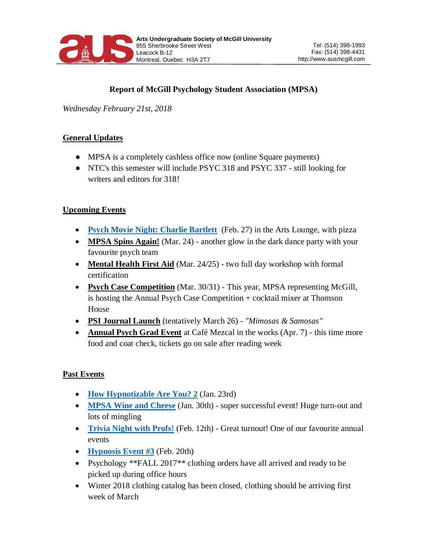

# **Report of McGill Psychology Student Association (MPSA)**

*Wednesday February 21st, 2018*

## **General Updates**

- MPSA is a completely cashless office now (online Square payments)
- NTC's this semester will include PSYC 318 and PSYC 337 still looking for writers and editors for 318!

### **Upcoming Events**

- **[Psych Movie Night: Charlie Bartlett](https://www.facebook.com/events/1998356700205011/)** (Feb. 27) in the Arts Lounge, with pizza
- **MPSA Spins Again!** (Mar. 24) another glow in the dark dance party with your favourite psych team
- **Mental Health First Aid** (Mar. 24/25) two full day workshop with formal certification
- **Psych Case Competition** (Mar. 30/31) This year, MPSA representing McGill, is hosting the Annual Psych Case Competition + cocktail mixer at Thomson House
- **PSI Journal Launch** (tentatively March 26) *"Mimosas & Samosas"*
- **Annual Psych Grad Event** at Café Mezcal in the works (Apr. 7) this time more food and coat check, tickets go on sale after reading week

### **Past Events**

- **[How Hypnotizable Are You?](https://www.facebook.com/events/575028642838998/) 2** (Jan. 23rd)
- **[MPSA Wine and Cheese](https://www.facebook.com/events/146747119357556/)** (Jan. 30th) super successful event! Huge turn-out and lots of mingling
- **[Trivia Night with Profs!](https://www.facebook.com/events/166632490635045/)** (Feb. 12th) Great turnout! One of our favourite annual events
- **[Hypnosis Event #3](https://www.facebook.com/events/1990742831146495/)** (Feb. 20th)
- Psychology \*\*FALL 2017<sup>\*\*</sup> clothing orders have all arrived and ready to be picked up during office hours
- Winter 2018 clothing catalog has been closed, clothing should be arriving first week of March